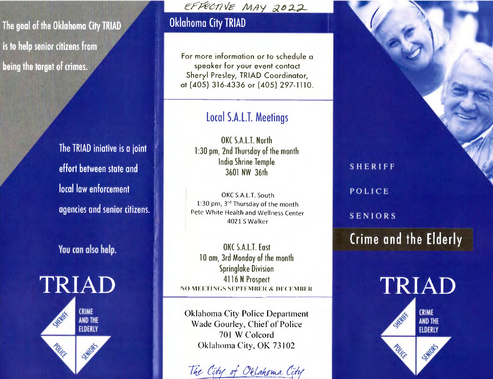**The goal of the Oklahoma City TRIAD** 

**is to help senior citizens from being the target of crimes.** 

> **The TRIAD iniative is a joint effort between state and local law enforcement agencies and senior citizens.**

**You can also help.** 



*&77v& M,qi aO2L* 

## Oklahoma City TRIAD

For more information or to schedule a speaker for your event contact Sheryl Presley, TRIAD Coordinator, at (405) 316-4336 or (405) 297-1110.

## Local S.A.LT. Meetings

OKC S.A.L.T. North 1:30 pm, 2nd Thursday of the month India Shrine Temple 3601 NW 36th

OKC S.A.L.T. South 1:30 pm,  $3<sup>rd</sup>$  Thursday of the month Pete White Health and Wellness Center 4021 S Walker

OKC S.A.L.T. East 10 am, 3rd Monday of the month Springlake Division 4116 N Prospect NO MEETINGS SEPTEMBER & DECEMBER

Oklahoma City Police Department Wade Gourley, Chief of Police 701 W Colcord Oklahoma City, OK 73102

The City of Oklahoma City

**POLICE** 

**SENIORS** 

**S H E R 1FF** 

**Crime and the Elderly**